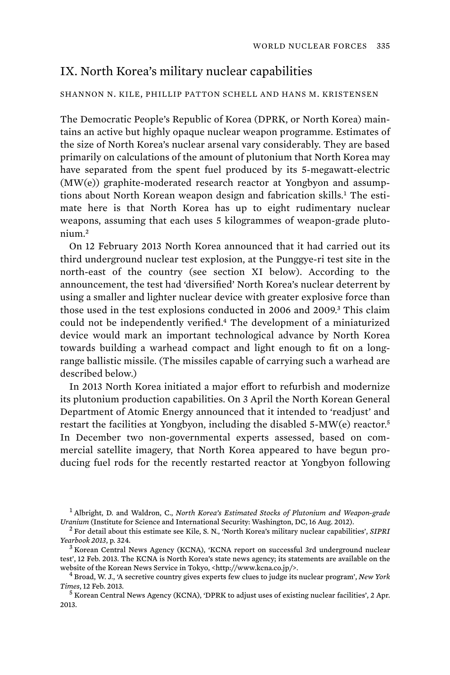## IX. North Korea's military nuclear capabilities

## SHANNON N. KILE, PHILLIP PATTON SCHELL AND HANS M. KRISTENSEN

The Democratic People's Republic of Korea (DPRK, or North Korea) maintains an active but highly opaque nuclear weapon programme. Estimates of the size of North Korea's nuclear arsenal vary considerably. They are based primarily on calculations of the amount of plutonium that North Korea may have separated from the spent fuel produced by its 5-megawatt-electric (MW(e)) graphite-moderated research reactor at Yongbyon and assumptions about North Korean weapon design and fabrication skills.<sup>1</sup> The estimate here is that North Korea has up to eight rudimentary nuclear weapons, assuming that each uses 5 kilogrammes of weapon-grade plutonium.<sup>2</sup>

On 12 February 2013 North Korea announced that it had carried out its third underground nuclear test explosion, at the Punggye-ri test site in the north-east of the country (see section XI below). According to the announcement, the test had 'diversified' North Korea's nuclear deterrent by using a smaller and lighter nuclear device with greater explosive force than those used in the test explosions conducted in 2006 and 2009.<sup>3</sup> This claim could not be independently verified.<sup>4</sup> The development of a miniaturized device would mark an important technological advance by North Korea towards building a warhead compact and light enough to fit on a longrange ballistic missile. (The missiles capable of carrying such a warhead are described below.)

In 2013 North Korea initiated a major effort to refurbish and modernize its plutonium production capabilities. On 3 April the North Korean General Department of Atomic Energy announced that it intended to 'readjust' and restart the facilities at Yongbyon, including the disabled 5-MW(e) reactor.<sup>5</sup> In December two non-governmental experts assessed, based on commercial satellite imagery, that North Korea appeared to have begun producing fuel rods for the recently restarted reactor at Yongbyon following

1 Albright, D. and Waldron, C., *North Korea's Estimated Stocks of Plutonium and Weapon-grade Uranium* (Institute for Science and International Security: Washington, DC, 16 Aug. 2012).

 $<sup>5</sup>$  Korean Central News Agency (KCNA), 'DPRK to adjust uses of existing nuclear facilities', 2 Apr.</sup> 2013.

For detail about this estimate see Kile, S. N., 'North Korea's military nuclear capabilities', *SIPRI Yearbook 2013*, p. 324.

<sup>&</sup>lt;sup>3</sup> Korean Central News Agency (KCNA), 'KCNA report on successful 3rd underground nuclear test', 12 Feb. 2013. The KCNA is North Korea's state news agency; its statements are available on the website of the Korean News Service in Tokyo, <http://www.kcna.co.jp/>. <sup>4</sup>

Broad, W. J., 'A secretive country gives experts few clues to judge its nuclear program', *New York Times*, 12 Feb. 2013. <sup>5</sup>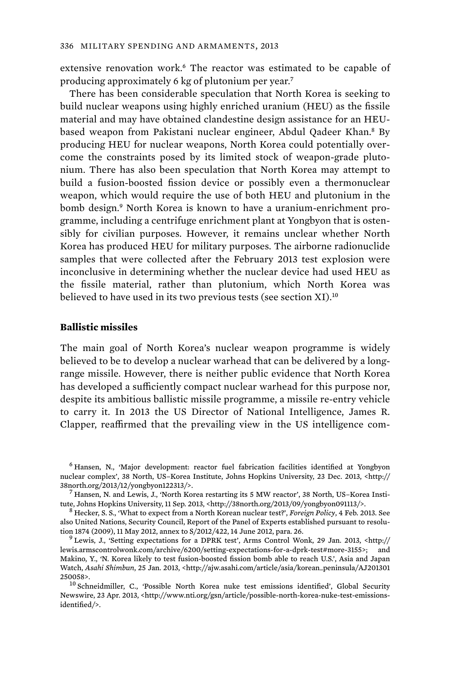extensive renovation work.<sup>6</sup> The reactor was estimated to be capable of producing approximately 6 kg of plutonium per year.<sup>7</sup>

There has been considerable speculation that North Korea is seeking to build nuclear weapons using highly enriched uranium (HEU) as the fissile material and may have obtained clandestine design assistance for an HEUbased weapon from Pakistani nuclear engineer, Abdul Qadeer Khan.<sup>8</sup> By producing HEU for nuclear weapons, North Korea could potentially overcome the constraints posed by its limited stock of weapon-grade plutonium. There has also been speculation that North Korea may attempt to build a fusion-boosted fission device or possibly even a thermonuclear weapon, which would require the use of both HEU and plutonium in the bomb design.<sup>9</sup> North Korea is known to have a uranium-enrichment programme, including a centrifuge enrichment plant at Yongbyon that is ostensibly for civilian purposes. However, it remains unclear whether North Korea has produced HEU for military purposes. The airborne radionuclide samples that were collected after the February 2013 test explosion were inconclusive in determining whether the nuclear device had used HEU as the fissile material, rather than plutonium, which North Korea was believed to have used in its two previous tests (see section XI).<sup>10</sup>

## **Ballistic missiles**

The main goal of North Korea's nuclear weapon programme is widely believed to be to develop a nuclear warhead that can be delivered by a longrange missile. However, there is neither public evidence that North Korea has developed a sufficiently compact nuclear warhead for this purpose nor, despite its ambitious ballistic missile programme, a missile re-entry vehicle to carry it. In 2013 the US Director of National Intelligence, James R. Clapper, reaffirmed that the prevailing view in the US intelligence com-

<sup>10</sup> Schneidmiller, C., 'Possible North Korea nuke test emissions identified', Global Security Newswire, 23 Apr. 2013, <http://www.nti.org/gsn/article/possible-north-korea-nuke-test-emissionsidentified/>.

<sup>&</sup>lt;sup>6</sup> Hansen, N., 'Major development: reactor fuel fabrication facilities identified at Yongbyon nuclear complex', 38 North, US–Korea Institute, Johns Hopkins University, 23 Dec. 2013, <http:// 38north.org/2013/12/yongbyon122313/>. <sup>7</sup>

Hansen, N. and Lewis, J., 'North Korea restarting its 5 MW reactor', 38 North, US–Korea Institute, Johns Hopkins University, 11 Sep. 2013, <http://38north.org/2013/09/yongbyon091113/>.

Hecker, S. S., 'What to expect from a North Korean nuclear test?', *Foreign Policy*, 4 Feb. 2013. See also United Nations, Security Council, Report of the Panel of Experts established pursuant to resolution 1874 (2009), 11 May 2012, annex to S/2012/422, 14 June 2012, para. 26. <sup>9</sup>

Lewis, J., 'Setting expectations for a DPRK test', Arms Control Wonk, 29 Jan. 2013, <http:// lewis.armscontrolwonk.com/archive/6200/setting-expectations-for-a-dprk-test#more-3155>; and Makino, Y., 'N. Korea likely to test fusion-boosted fission bomb able to reach U.S.', Asia and Japan Watch, *Asahi Shimbun*, 25 Jan. 2013, <http://ajw.asahi.com/article/asia/korean\_peninsula/AJ201301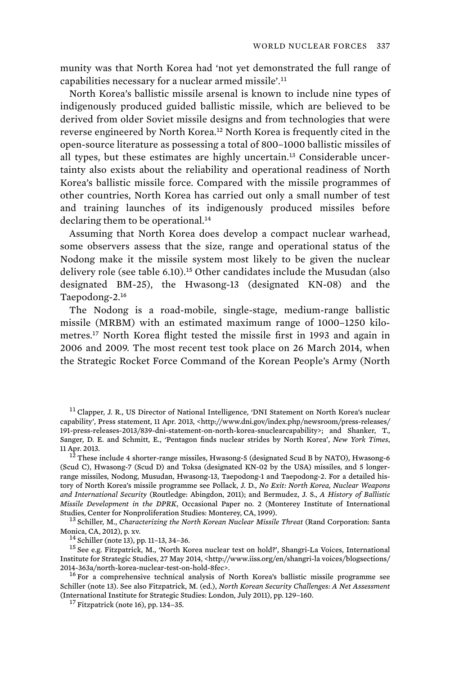munity was that North Korea had 'not yet demonstrated the full range of capabilities necessary for a nuclear armed missile'.<sup>11</sup>

North Korea's ballistic missile arsenal is known to include nine types of indigenously produced guided ballistic missile, which are believed to be derived from older Soviet missile designs and from technologies that were reverse engineered by North Korea.<sup>12</sup> North Korea is frequently cited in the open-source literature as possessing a total of 800–1000 ballistic missiles of all types, but these estimates are highly uncertain.13 Considerable uncertainty also exists about the reliability and operational readiness of North Korea's ballistic missile force. Compared with the missile programmes of other countries, North Korea has carried out only a small number of test and training launches of its indigenously produced missiles before declaring them to be operational.<sup>14</sup>

Assuming that North Korea does develop a compact nuclear warhead, some observers assess that the size, range and operational status of the Nodong make it the missile system most likely to be given the nuclear delivery role (see table 6.10).<sup>15</sup> Other candidates include the Musudan (also designated BM-25), the Hwasong-13 (designated KN-08) and the Taepodong-2.<sup>16</sup>

The Nodong is a road-mobile, single-stage, medium-range ballistic missile (MRBM) with an estimated maximum range of 1000–1250 kilometres.<sup>17</sup> North Korea flight tested the missile first in 1993 and again in 2006 and 2009. The most recent test took place on 26 March 2014, when the Strategic Rocket Force Command of the Korean People's Army (North

<sup>11</sup> Clapper, J. R., US Director of National Intelligence, 'DNI Statement on North Korea's nuclear capability', Press statement, 11 Apr. 2013, <http://www.dni.gov/index.php/newsroom/press-releases/ 191-press-releases-2013/839-dni-statement-on-north-korea-snuclearcapability>; and Shanker, T., Sanger, D. E. and Schmitt, E., 'Pentagon finds nuclear strides by North Korea', *New York Times*, 11 Apr. 2013. 12 These include 4 shorter-range missiles, Hwasong-5 (designated Scud B by NATO), Hwasong-6

(Scud C), Hwasong-7 (Scud D) and Toksa (designated KN-02 by the USA) missiles, and 5 longerrange missiles, Nodong, Musudan, Hwasong-13, Taepodong-1 and Taepodong-2. For a detailed history of North Korea's missile programme see Pollack, J. D., *No Exit: North Korea, Nuclear Weapons and International Security* (Routledge: Abingdon, 2011); and Bermudez, J. S., *A History of Ballistic Missile Development in the DPRK*, Occasional Paper no. 2 (Monterey Institute of International

Studies, Center for Nonproliferation Studies: Monterey, CA, 1999). 13 Schiller, M., *Characterizing the North Korean Nuclear Missile Threat* (Rand Corporation: Santa

 $^{14}$  Schiller (note 13), pp. 11–13, 34–36. 16)<br>15 See e.g. Fitzpatrick, M., 'North Korea nuclear test on hold?', Shangri-La Voices, International Institute for Strategic Studies, 27 May 2014, <http://www.iiss.org/en/shangri-la voices/blogsections/

<sup>16</sup> For a comprehensive technical analysis of North Korea's ballistic missile programme see Schiller (note 13). See also Fitzpatrick, M. (ed.), *North Korean Security Challenges: A Net Assessment* (International Institute for Strategic Studies: London, July 2011), pp. 129–160.<br><sup>17</sup> Fitzpatrick (note 16), pp. 134–35.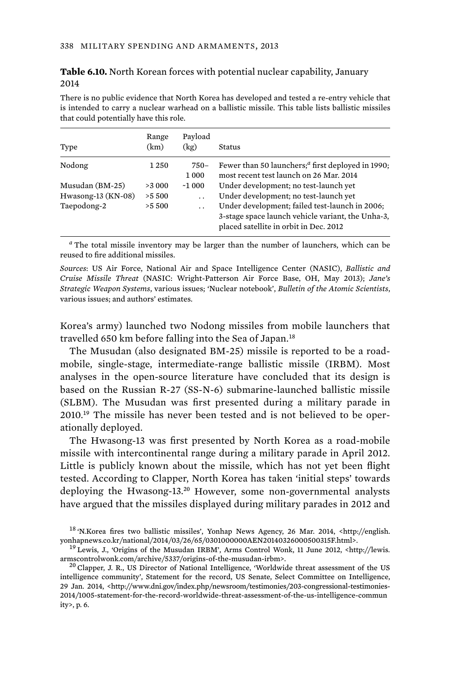## **Table 6.10.** North Korean forces with potential nuclear capability, January 2014

There is no public evidence that North Korea has developed and tested a re-entry vehicle that is intended to carry a nuclear warhead on a ballistic missile. This table lists ballistic missiles that could potentially have this role.

| Type               | Range<br>(km) | Payload<br>(kg)      | <b>Status</b>                                                                                                                                 |
|--------------------|---------------|----------------------|-----------------------------------------------------------------------------------------------------------------------------------------------|
| Nodong             | 1250          | $750-$<br>1000       | Fewer than 50 launchers; <sup><i>a</i></sup> first deployed in 1990;<br>most recent test launch on 26 Mar. 2014                               |
| Musudan (BM-25)    | >3 000        | ~1000                | Under development; no test-launch yet                                                                                                         |
| Hwasong-13 (KN-08) | >5500         | $\ddot{\phantom{a}}$ | Under development; no test-launch yet                                                                                                         |
| Taepodong-2        | >5500         | $\ddot{\phantom{a}}$ | Under development; failed test-launch in 2006;<br>3-stage space launch vehicle variant, the Unha-3,<br>placed satellite in orbit in Dec. 2012 |

*a* The total missile inventory may be larger than the number of launchers, which can be reused to fire additional missiles.

*Sources*: US Air Force, National Air and Space Intelligence Center (NASIC), *Ballistic and Cruise Missile Threat* (NASIC: Wright-Patterson Air Force Base, OH, May 2013); *Jane's Strategic Weapon Systems*, various issues; 'Nuclear notebook', *Bulletin of the Atomic Scientists*, various issues; and authors' estimates.

Korea's army) launched two Nodong missiles from mobile launchers that travelled 650 km before falling into the Sea of Japan.<sup>18</sup>

The Musudan (also designated BM-25) missile is reported to be a roadmobile, single-stage, intermediate-range ballistic missile (IRBM). Most analyses in the open-source literature have concluded that its design is based on the Russian R-27 (SS-N-6) submarine-launched ballistic missile (SLBM). The Musudan was first presented during a military parade in 2010.<sup>19</sup> The missile has never been tested and is not believed to be operationally deployed.

The Hwasong-13 was first presented by North Korea as a road-mobile missile with intercontinental range during a military parade in April 2012. Little is publicly known about the missile, which has not yet been flight tested. According to Clapper, North Korea has taken 'initial steps' towards deploying the Hwasong-13.<sup>20</sup> However, some non-governmental analysts have argued that the missiles displayed during military parades in 2012 and

 $^{18}$  N.Korea fires two ballistic missiles', Yonhap News Agency, 26 Mar. 2014, <http://english.<br>yonhapnews.co.kr/national/2014/03/26/65/0301000000AEN20140326000500315F.html>.

<sup>&</sup>lt;sup>19</sup> Lewis, J., 'Origins of the Musudan IRBM', Arms Control Wonk, 11 June 2012, <http://lewis. armscontrolwonk.com/archive/5337/origins-of-the-musudan-irbm>. 20 Clapper, J. R., US Director of National Intelligence, 'Worldwide threat assessment of the US

intelligence community', Statement for the record, US Senate, Select Committee on Intelligence, 29 Jan. 2014, <http://www.dni.gov/index.php/newsroom/testimonies/203-congressional-testimonies-2014/1005-statement-for-the-record-worldwide-threat-assessment-of-the-us-intelligence-commun ity>, p. 6.